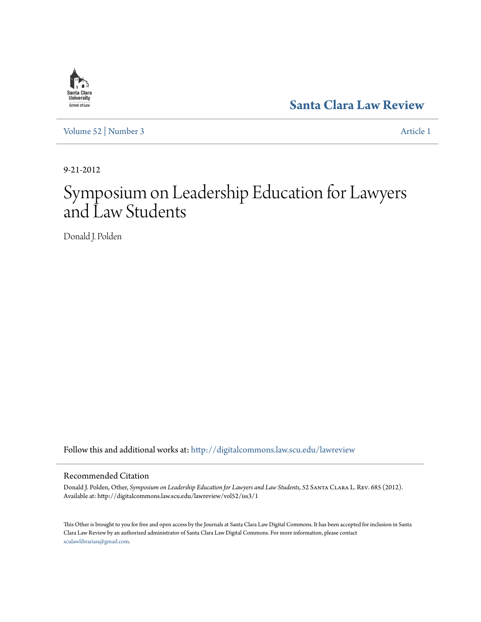## **[Santa Clara Law Review](http://digitalcommons.law.scu.edu/lawreview?utm_source=digitalcommons.law.scu.edu%2Flawreview%2Fvol52%2Fiss3%2F1&utm_medium=PDF&utm_campaign=PDFCoverPages)**

[Volume 52](http://digitalcommons.law.scu.edu/lawreview/vol52?utm_source=digitalcommons.law.scu.edu%2Flawreview%2Fvol52%2Fiss3%2F1&utm_medium=PDF&utm_campaign=PDFCoverPages) | [Number 3](http://digitalcommons.law.scu.edu/lawreview/vol52/iss3?utm_source=digitalcommons.law.scu.edu%2Flawreview%2Fvol52%2Fiss3%2F1&utm_medium=PDF&utm_campaign=PDFCoverPages) [Article 1](http://digitalcommons.law.scu.edu/lawreview/vol52/iss3/1?utm_source=digitalcommons.law.scu.edu%2Flawreview%2Fvol52%2Fiss3%2F1&utm_medium=PDF&utm_campaign=PDFCoverPages)

9-21-2012

# Symposium on Leadership Education for Lawyers and Law Students

Donald J. Polden

Follow this and additional works at: [http://digitalcommons.law.scu.edu/lawreview](http://digitalcommons.law.scu.edu/lawreview?utm_source=digitalcommons.law.scu.edu%2Flawreview%2Fvol52%2Fiss3%2F1&utm_medium=PDF&utm_campaign=PDFCoverPages)

### Recommended Citation

Donald J. Polden, Other, *Symposium on Leadership Education for Lawyers and Law Students*, 52 Santa Clara L. Rev. 685 (2012). Available at: http://digitalcommons.law.scu.edu/lawreview/vol52/iss3/1

This Other is brought to you for free and open access by the Journals at Santa Clara Law Digital Commons. It has been accepted for inclusion in Santa Clara Law Review by an authorized administrator of Santa Clara Law Digital Commons. For more information, please contact [sculawlibrarian@gmail.com](mailto:sculawlibrarian@gmail.com).

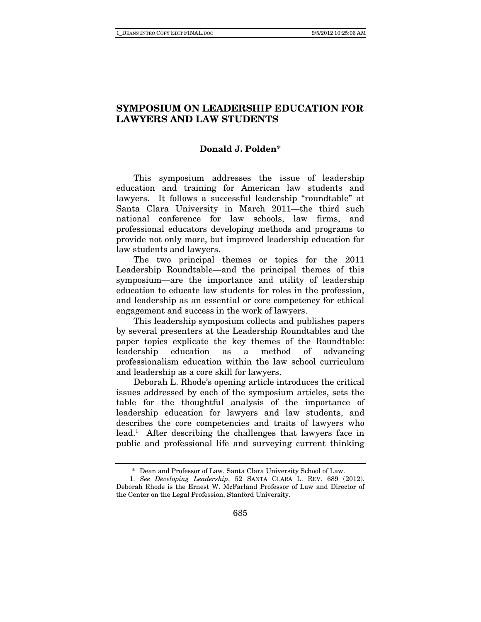### **SYMPOSIUM ON LEADERSHIP EDUCATION FOR LAWYERS AND LAW STUDENTS**

### **Donald J. Polden\***

This symposium addresses the issue of leadership education and training for American law students and lawyers. It follows a successful leadership "roundtable" at Santa Clara University in March 2011—the third such national conference for law schools, law firms, and professional educators developing methods and programs to provide not only more, but improved leadership education for law students and lawyers.

The two principal themes or topics for the 2011 Leadership Roundtable—and the principal themes of this symposium—are the importance and utility of leadership education to educate law students for roles in the profession, and leadership as an essential or core competency for ethical engagement and success in the work of lawyers.

This leadership symposium collects and publishes papers by several presenters at the Leadership Roundtables and the paper topics explicate the key themes of the Roundtable: leadership education as a method of advancing professionalism education within the law school curriculum and leadership as a core skill for lawyers.

Deborah L. Rhode's opening article introduces the critical issues addressed by each of the symposium articles, sets the table for the thoughtful analysis of the importance of leadership education for lawyers and law students, and describes the core competencies and traits of lawyers who lead.<sup>1</sup> After describing the challenges that lawyers face in public and professional life and surveying current thinking

 <sup>\*</sup> Dean and Professor of Law, Santa Clara University School of Law.

 <sup>1.</sup> See Developing Leadership, 52 SANTA CLARA L. REV. 689 (2012). Deborah Rhode is the Ernest W. McFarland Professor of Law and Director of the Center on the Legal Profession, Stanford University.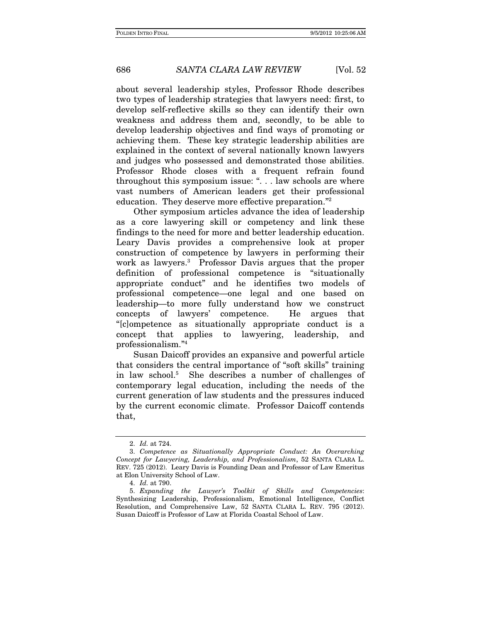### 686 SANTA CLARA LAW REVIEW [Vol. 52

about several leadership styles, Professor Rhode describes two types of leadership strategies that lawyers need: first, to develop self-reflective skills so they can identify their own weakness and address them and, secondly, to be able to develop leadership objectives and find ways of promoting or achieving them. These key strategic leadership abilities are explained in the context of several nationally known lawyers and judges who possessed and demonstrated those abilities. Professor Rhode closes with a frequent refrain found throughout this symposium issue: ". . . law schools are where vast numbers of American leaders get their professional education. They deserve more effective preparation."2

Other symposium articles advance the idea of leadership as a core lawyering skill or competency and link these findings to the need for more and better leadership education. Leary Davis provides a comprehensive look at proper construction of competence by lawyers in performing their work as lawyers.<sup>3</sup> Professor Davis argues that the proper definition of professional competence is "situationally appropriate conduct" and he identifies two models of professional competence—one legal and one based on leadership—to more fully understand how we construct concepts of lawyers' competence. He argues that "[c]ompetence as situationally appropriate conduct is a concept that applies to lawyering, leadership, and professionalism."4

Susan Daicoff provides an expansive and powerful article that considers the central importance of "soft skills" training in law school.5 She describes a number of challenges of contemporary legal education, including the needs of the current generation of law students and the pressures induced by the current economic climate. Professor Daicoff contends that,

 <sup>2.</sup> Id. at 724.

 <sup>3.</sup> Competence as Situationally Appropriate Conduct: An Overarching Concept for Lawyering, Leadership, and Professionalism, 52 SANTA CLARA L. REV. 725 (2012). Leary Davis is Founding Dean and Professor of Law Emeritus at Elon University School of Law.

 <sup>4.</sup> Id. at 790.

<sup>5.</sup> Expanding the Lawyer's Toolkit of Skills and Competencies: Synthesizing Leadership, Professionalism, Emotional Intelligence, Conflict Resolution, and Comprehensive Law, 52 SANTA CLARA L. REV. 795 (2012). Susan Daicoff is Professor of Law at Florida Coastal School of Law.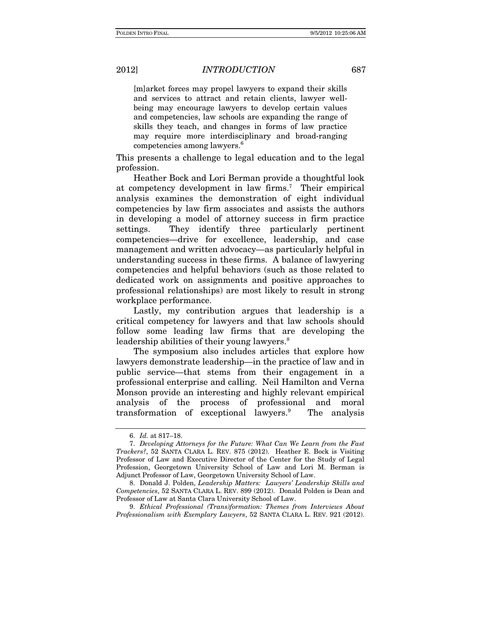2012] INTRODUCTION 687

[m]arket forces may propel lawyers to expand their skills and services to attract and retain clients, lawyer wellbeing may encourage lawyers to develop certain values and competencies, law schools are expanding the range of skills they teach, and changes in forms of law practice may require more interdisciplinary and broad-ranging competencies among lawyers.<sup>6</sup>

This presents a challenge to legal education and to the legal profession.

Heather Bock and Lori Berman provide a thoughtful look at competency development in law firms.<sup>7</sup> Their empirical analysis examines the demonstration of eight individual competencies by law firm associates and assists the authors in developing a model of attorney success in firm practice settings. They identify three particularly pertinent competencies—drive for excellence, leadership, and case management and written advocacy—as particularly helpful in understanding success in these firms. A balance of lawyering competencies and helpful behaviors (such as those related to dedicated work on assignments and positive approaches to professional relationships) are most likely to result in strong workplace performance.

Lastly, my contribution argues that leadership is a critical competency for lawyers and that law schools should follow some leading law firms that are developing the leadership abilities of their young lawyers.<sup>8</sup>

The symposium also includes articles that explore how lawyers demonstrate leadership—in the practice of law and in public service—that stems from their engagement in a professional enterprise and calling. Neil Hamilton and Verna Monson provide an interesting and highly relevant empirical analysis of the process of professional and moral transformation of exceptional lawyers.9 The analysis

 9. Ethical Professional (Trans)formation: Themes from Interviews About Professionalism with Exemplary Lawyers, 52 SANTA CLARA L. REV. 921 (2012).

 <sup>6.</sup> Id. at 817–18.

 <sup>7.</sup> Developing Attorneys for the Future: What Can We Learn from the Fast Trackers?, 52 SANTA CLARA L. REV. 875 (2012). Heather E. Bock is Visiting Professor of Law and Executive Director of the Center for the Study of Legal Profession, Georgetown University School of Law and Lori M. Berman is Adjunct Professor of Law, Georgetown University School of Law.

 <sup>8.</sup> Donald J. Polden, Leadership Matters: Lawyers' Leadership Skills and Competencies, 52 SANTA CLARA L. REV. 899 (2012). Donald Polden is Dean and Professor of Law at Santa Clara University School of Law.